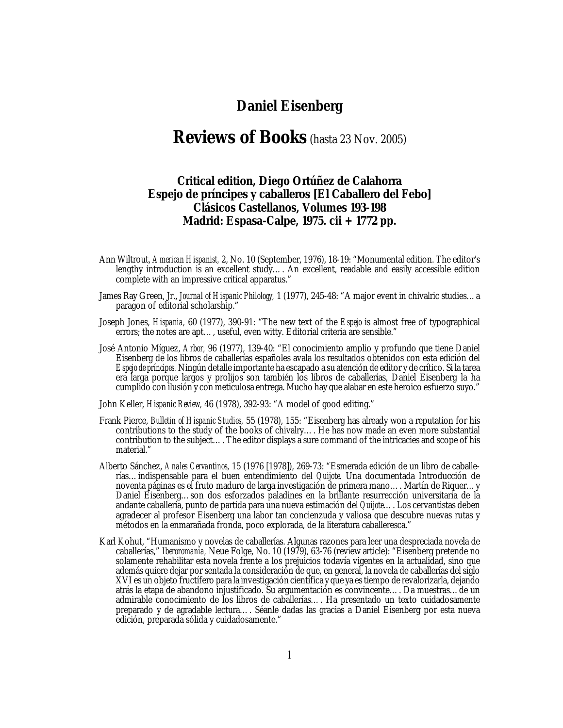## **Daniel Eisenberg**

# **Reviews of Books** (hasta 23 Nov. 2005)

## **Critical edition, Diego Ortúñez de Calahorra** *Espejo de príncipes y caballeros* **[***El Caballero del Febo***] Clásicos Castellanos, Volumes 193-198 Madrid: Espasa-Calpe, 1975. cii + 1772 pp.**

- Ann Wiltrout, *American Hispanist,* 2, No. 10 (September, 1976), 18-19: "Monumental edition. The editor's lengthy introduction is an excellent study…. An excellent, readable and easily accessible edition complete with an impressive critical apparatus."
- James Ray Green, Jr., *Journal of Hispanic Philology,* 1 (1977), 245-48: "A major event in chivalric studies…a paragon of editorial scholarship."
- Joseph Jones, *Hispania,* 60 (1977), 390-91: "The new text of the *Espejo* is almost free of typographical errors; the notes are apt…, useful, even witty. Editorial criteria are sensible."
- José Antonio Míguez, *Arbor,* 96 (1977), 139-40: "El conocimiento amplio y profundo que tiene Daniel Eisenberg de los libros de caballerías españoles avala los resultados obtenidos con esta edición del *Espejo de príncipes.* Ningún detalle importante ha escapado a su atención de editor y de crítico. Si la tarea era larga porque largos y prolijos son también los libros de caballerías, Daniel Eisenberg la ha cumplido con ilusión y con meticulosa entrega. Mucho hay que alabar en este heroico esfuerzo suyo."
- John Keller, *Hispanic Review,* 46 (1978), 392-93: "A model of good editing."
- Frank Pierce, *Bulletin of Hispanic Studies,* 55 (1978), 155: "Eisenberg has already won a reputation for his contributions to the study of the books of chivalry…. He has now made an even more substantial contribution to the subject…. The editor displays a sure command of the intricacies and scope of his material."
- Alberto Sánchez, *Anales Cervantinos,* 15 (1976 [1978]), 269-73: "Esmerada edición de un libro de caballerías…indispensable para el buen entendimiento del *Quijote.* Una documentada Introducción de noventa páginas es el fruto maduro de larga investigación de primera mano…. Martín de Riquer…y Daniel Eisenberg…son dos esforzados paladines en la brillante resurrección universitaria de la andante caballería, punto de partida para una nueva estimación del *Quijote*…. Los cervantistas deben agradecer al profesor Eisenberg una labor tan concienzuda y valiosa que descubre nuevas rutas y métodos en la enmarañada fronda, poco explorada, de la literatura caballeresca."
- Karl Kohut, "Humanismo y novelas de caballerías. Algunas razones para leer una despreciada novela de caballerías," *Iberoromania,* Neue Folge, No. 10 (1979), 63-76 (review article): "Eisenberg pretende no solamente rehabilitar esta novela frente a los prejuicios todavía vigentes en la actualidad, sino que además quiere dejar por sentada la consideración de que, en general, la novela de caballerías del siglo XVI es un objeto fructífero para la investigación científica y que ya estiempo de revalorizarla, dejando atrás la etapa de abandono injustificado. Su argumentación es convincente…. Da muestras…de un admirable conocimiento de los libros de caballerías…. Ha presentado un texto cuidadosamente preparado y de agradable lectura…. Séanle dadas las gracias a Daniel Eisenberg por esta nueva edición, preparada sólida y cuidadosamente."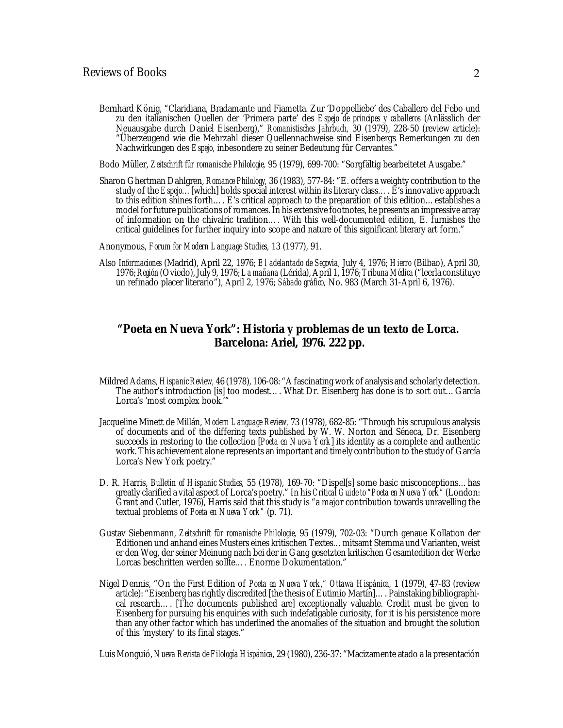Bernhard König, "Claridiana, Bradamante und Fiametta. Zur 'Doppelliebe' des Caballero del Febo und zu den italianischen Quellen der 'Primera parte' des *Espejo de príncipes y caballeros* (Anlässlich der Neuausgabe durch Daniel Eisenberg)," *Romanistisches Jahrbuch,* 30 (1979), 228-50 (review article): "Überzeugend wie die Mehrzahl dieser Quellennachweise sind Eisenbergs Bemerkungen zu den Nachwirkungen des *Espejo,* inbesondere zu seiner Bedeutung für Cervantes."

Bodo Müller, *Zeitschrift für romanische Philologie,* 95 (1979), 699-700: "Sorgfältig bearbeitetet Ausgabe."

Sharon Ghertman Dahlgren, *Romance Philology,* 36 (1983), 577-84: "E. offers a weighty contribution to the study of the *Espejo*…[which] holds special interest within its literary class…. E's innovative approach to this edition shines forth…. E's critical approach to the preparation of this edition…establishes a model for future publications of romances. In his extensive footnotes, he presents an impressive array of information on the chivalric tradition…. With this well-documented edition, E. furnishes the critical guidelines for further inquiry into scope and nature of this significant literary art form."

Anonymous, *Forum for Modern Language Studies,* 13 (1977), 91.

Also *Informaciones* (Madrid), April 22, 1976; *El adelantado de Segovia,* July 4, 1976; *Hierro* (Bilbao), April 30, 1976;*Región* (Oviedo),July 9, 1976; *La mañana* (Lérida),April 1, 1976; *Tribuna Médica* ("leerla constituye un refinado placer literario"), April 2, 1976; *Sábado gráfico,* No. 983 (March 31-April 6, 1976).

## *"Poeta en Nueva York": Historia y problemas de un texto de Lorca.* **Barcelona: Ariel, 1976. 222 pp.**

- Mildred Adams, *Hispanic Review,* 46 (1978), 106-08: "A fascinating work of analysis and scholarly detection. The author's introduction [is] too modest…. What Dr. Eisenberg has done is to sort out…García Lorca's 'most complex book.'"
- Jacqueline Minett de Millán, *Modern Language Review,* 73 (1978), 682-85: "Through his scrupulous analysis of documents and of the differing texts published by W. W. Norton and Séneca, Dr. Eisenberg succeeds in restoring to the collection [*Poeta en Nueva York*] its identity as a complete and authentic work. This achievement alone represents an important and timely contribution to the study of García Lorca's New York poetry."
- D. R. Harris, *Bulletin of Hispanic Studies,* 55 (1978), 169-70: "Dispel[s] some basic misconceptions…has greatly clarified a vital aspect of Lorca's poetry." In his *Critical Guide to "Poeta en Nueva York"* (London: Grant and Cutler, 1976), Harris said that this study is "a major contribution towards unravelling the textual problems of *Poeta en Nueva York"* (p. 71).
- Gustav Siebenmann, *Zeitschrift für romanische Philologie,* 95 (1979), 702-03: "Durch genaue Kollation der Editionen und anhand eines Musters eines kritischen Textes…mitsamt Stemma und Varianten, weist er den Weg, der seiner Meinung nach bei der in Gang gesetzten kritischen Gesamtedition der Werke Lorcas beschritten werden sollte…. Enorme Dokumentation."
- Nigel Dennis, "On the First Edition of *Poeta en Nueva York," Ottawa Hispánica,* 1 (1979), 47-83 (review article): "Eisenberg has rightly discredited [the thesis of Eutimio Martín]…. Painstaking bibliographical research…. [The documents published are] exceptionally valuable. Credit must be given to Eisenberg for pursuing his enquiries with such indefatigable curiosity, for it is his persistence more than any other factor which has underlined the anomalies of the situation and brought the solution of this 'mystery' to its final stages."

Luis Monguió, *Nueva Revista de Filología Hispánica,* 29 (1980), 236-37: "Macizamente atado a la presentación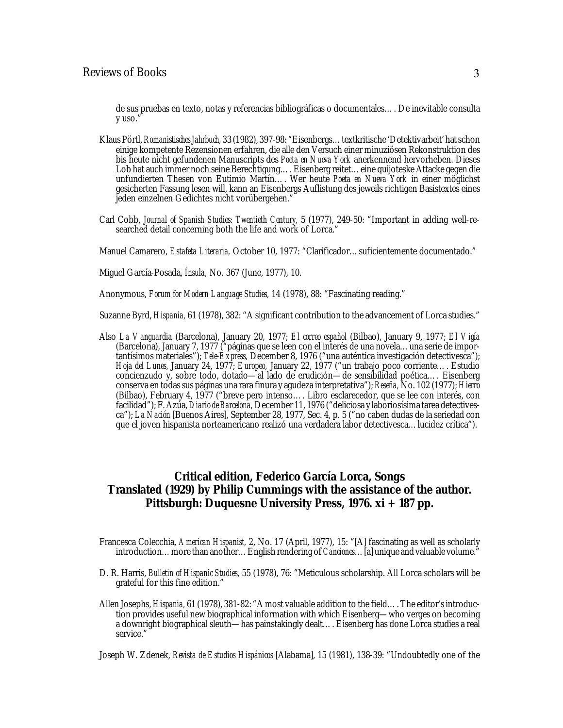de sus pruebas en texto, notas y referencias bibliográficas o documentales…. De inevitable consulta y uso.'

- Klaus Pörtl,*Romanistisches Jahrbuch,* 33 (1982), 397-98: "Eisenbergs…textkritische 'Detektivarbeit' hat schon einige kompetente Rezensionen erfahren, die alle den Versuch einer minuziösen Rekonstruktion des bis heute nicht gefundenen Manuscripts des *Poeta en Nueva York* anerkennend hervorheben. Dieses Lob hat auch immer noch seine Berechtigung…. Eisenberg reitet…eine quijoteske Attacke gegen die unfundierten Thesen von Eutimio Martín…. Wer heute *Poeta en Nueva York* in einer möglichst gesicherten Fassung lesen will, kann an Eisenbergs Auflistung des jeweils richtigen Basistextes eines jeden einzelnen Gedichtes nicht vorübergehen."
- Carl Cobb, *Journal of Spanish Studies: Twentieth Century,* 5 (1977), 249-50: "Important in adding well-researched detail concerning both the life and work of Lorca."
- Manuel Camarero, *Estafeta Literaria,* October 10, 1977: "Clarificador…suficientemente documentado."
- Miguel García-Posada, *Ínsula,* No. 367 (June, 1977), 10.

Anonymous, *Forum for Modern Language Studies,* 14 (1978), 88: "Fascinating reading."

Suzanne Byrd, *Hispania,* 61 (1978), 382: "A significant contribution to the advancement of Lorca studies."

Also *La Vanguardia* (Barcelona), January 20, 1977; *El correo español* (Bilbao), January 9, 1977; *El Vigía* (Barcelona), January 7, 1977 ("páginas que se leen con el interés de una novela…una serie de importantísimos materiales"); *Tele-Express,* December 8, 1976 ("una auténtica investigación detectivesca"); *Hoja del Lunes,* January 24, 1977; *Europeo,* January 22, 1977 ("un trabajo poco corriente…. Estudio concienzudo y, sobre todo, dotado—al lado de erudición—de sensibilidad poética…. Eisenberg conserva en todassus páginas una rara finura y agudeza interpretativa"); *Reseña,* No. 102 (1977); *Hierro* (Bilbao), February 4, 1977 ("breve pero intenso…. Libro esclarecedor, que se lee con interés, con facilidad"); F.Azúa, *Diario de Barcelona,* December 11, 1976 ("deliciosa y laboriosísima tarea detectivesca"); *La Nación* [Buenos Aires], September 28, 1977, Sec. 4, p. 5 ("no caben dudas de la seriedad con que el joven hispanista norteamericano realizó una verdadera labor detectivesca…lucidez crítica").

## **Critical edition, Federico García Lorca,** *Songs* **Translated (1929) by Philip Cummings with the assistance of the author. Pittsburgh: Duquesne University Press, 1976. xi + 187 pp.**

- Francesca Colecchia, *American Hispanist,* 2, No. 17 (April, 1977), 15: "[A] fascinating as well as scholarly introduction…more than another…English rendering of*Canciones*…[a] unique and valuable volume."
- D. R. Harris, *Bulletin of Hispanic Studies,* 55 (1978), 76: "Meticulous scholarship. All Lorca scholars will be grateful for this fine edition."
- Allen Josephs, *Hispania,* 61 (1978), 381-82: "A most valuable addition to the field…. The editor'sintroduction provides useful new biographical information with which Eisenberg—who verges on becoming a downright biographical sleuth—has painstakingly dealt…. Eisenberg has done Lorca studies a real service.'

Joseph W. Zdenek, *Revista de Estudios Hispánicos* [Alabama], 15 (1981), 138-39: "Undoubtedly one of the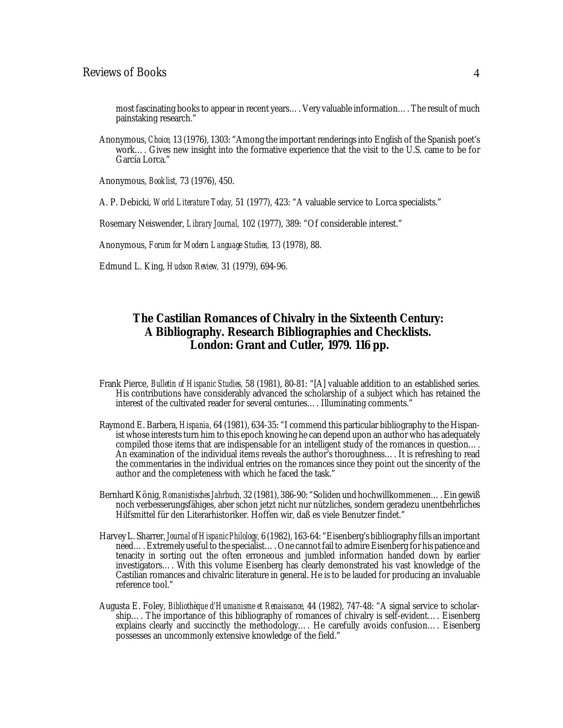most fascinating books to appear in recent years…. Very valuable information…. The result of much painstaking research."

Anonymous, *Choice,* 13 (1976), 1303: "Among the important renderingsinto English of the Spanish poet's work…. Gives new insight into the formative experience that the visit to the U.S. came to be for García Lorca."

Anonymous, *Booklist,* 73 (1976), 450.

A. P. Debicki, *World Literature Today,* 51 (1977), 423: "A valuable service to Lorca specialists."

Rosemary Neiswender, *Library Journal,* 102 (1977), 389: "Of considerable interest."

Anonymous, *Forum for Modern Language Studies,* 13 (1978), 88.

Edmund L. King, *Hudson Review,* 31 (1979), 694-96.

## *The Castilian Romances of Chivalry in the Sixteenth Century: A Bibliography.* **Research Bibliographies and Checklists. London: Grant and Cutler, 1979. 116 pp.**

- Frank Pierce, *Bulletin of Hispanic Studies,* 58 (1981), 80-81: "[A] valuable addition to an established series. His contributions have considerably advanced the scholarship of a subject which has retained the interest of the cultivated reader for several centuries…. Illuminating comments."
- Raymond E. Barbera, *Hispania,* 64 (1981), 634-35: "I commend this particular bibliography to the Hispanist whose interests turn him to this epoch knowing he can depend upon an author who has adequately compiled those items that are indispensable for an intelligent study of the romances in question.... An examination of the individual items reveals the author's thoroughness…. It is refreshing to read the commentaries in the individual entries on the romances since they point out the sincerity of the author and the completeness with which he faced the task."
- Bernhard König, *Romanistisches Jahrbuch,* 32 (1981), 386-90: "Soliden und hochwillkommenen….Ein gewiß noch verbesserungsfähiges, aber schon jetzt nicht nur nützliches, sondern geradezu unentbehrliches Hilfsmittel für den Literarhistoriker. Hoffen wir, daß es viele Benutzer findet."
- Harvey L. Sharrer, *Journalof Hispanic Philology,* 6 (1982), 163-64: "Eisenberg's bibliography fills an important need….Extremely useful to the specialist…. One cannot fail to admire Eisenberg for his patience and tenacity in sorting out the often erroneous and jumbled information handed down by earlier investigators…. With this volume Eisenberg has clearly demonstrated his vast knowledge of the Castilian romances and chivalric literature in general. He is to be lauded for producing an invaluable reference tool."
- Augusta E. Foley, *Bibliothèque d'Humanisme et Renaissance,* 44 (1982), 747-48: "A signal service to scholarship…. The importance of this bibliography of romances of chivalry is self-evident…. Eisenberg explains clearly and succinctly the methodology…. He carefully avoids confusion…. Eisenberg possesses an uncommonly extensive knowledge of the field."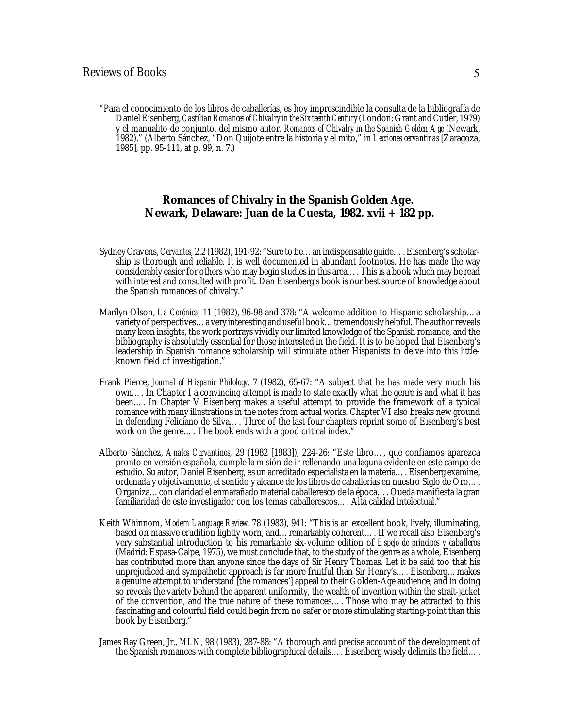"Para el conocimiento de los libros de caballerías, es hoy imprescindible la consulta de la bibliografía de DanielEisenberg,*CastilianRomancesof Chivalryin the Sixteenth Century*(London: Grant andCutler, 1979) y el manualito de conjunto, del mismo autor, *Romances of Chivalry in the Spanish Golden Age* (Newark, 1982)." (Alberto Sánchez, "Don Quijote entre la historia y el mito," in *Lecciones cervantinas* [Zaragoza, 1985], pp. 95-111, at p. 99, n. 7.)

#### *Romances of Chivalry in the Spanish Golden Age.* **Newark, Delaware: Juan de la Cuesta, 1982. xvii + 182 pp.**

- Sydney Cravens, *Cervantes,* 2.2 (1982), 191-92: "Sure to be…an indispensable guide…. Eisenberg'sscholarship is thorough and reliable. It is well documented in abundant footnotes. He has made the way considerably easier for others who may begin studies in this area…. This is a book which may be read with interest and consulted with profit. Dan Eisenberg's book is our best source of knowledge about the Spanish romances of chivalry."
- Marilyn Olson, *La Corónica,* 11 (1982), 96-98 and 378: "A welcome addition to Hispanic scholarship…a variety of perspectives…a very interesting and useful book…tremendously helpful. The author reveals many keen insights, the work portrays vividly our limited knowledge of the Spanish romance, and the bibliography is absolutely essential for those interested in the field. It is to be hoped that Eisenberg's leadership in Spanish romance scholarship will stimulate other Hispanists to delve into this littleknown field of investigation."
- Frank Pierce, *Journal of Hispanic Philology,* 7 (1982), 65-67: "A subject that he has made very much his own…. In Chapter I a convincing attempt is made to state exactly what the genre is and what it has been…. In Chapter V Eisenberg makes a useful attempt to provide the framework of a typical romance with many illustrations in the notes from actual works. Chapter VI also breaks new ground in defending Feliciano de Silva…. Three of the last four chapters reprint some of Eisenberg's best work on the genre…. The book ends with a good critical index."
- Alberto Sánchez, *Anales Cervantinos,* 29 (1982 [1983]), 224-26: "Este libro…, que confiamos aparezca pronto en versión española, cumple la misión de ir rellenando una laguna evidente en este campo de estudio. Su autor, Daniel Eisenberg, es un acreditado especialista en la materia…. Eisenberg examine, ordenada y objetivamente, el sentido y alcance de los libros de caballerías en nuestro Siglo de Oro…. Organiza…con claridad el enmarañado material caballeresco de la época…. Queda manifiesta la gran familiaridad de este investigador con los temas caballerescos…. Alta calidad intelectual."
- Keith Whinnom, *Modern Language Review,* 78 (1983), 941: "This is an excellent book, lively, illuminating, based on massive erudition lightly worn, and...remarkably coherent.... If we recall also Eisenberg's very substantial introduction to his remarkable six-volume edition of *Espejo de príncipes y caballeros* (Madrid: Espasa-Calpe, 1975), we must conclude that, to the study of the genre as a whole, Eisenberg has contributed more than anyone since the days of Sir Henry Thomas. Let it be said too that his unprejudiced and sympathetic approach is far more fruitful than Sir Henry's…. Eisenberg…makes a genuine attempt to understand [the romances'] appeal to their Golden-Age audience, and in doing so reveals the variety behind the apparent uniformity, the wealth of invention within the strait-jacket of the convention, and the true nature of these romances…. Those who may be attracted to this fascinating and colourful field could begin from no safer or more stimulating starting-point than this book by Eisenberg."
- James Ray Green, Jr., *MLN,* 98 (1983), 287-88: "A thorough and precise account of the development of the Spanish romances with complete bibliographical details…. Eisenberg wisely delimits the field….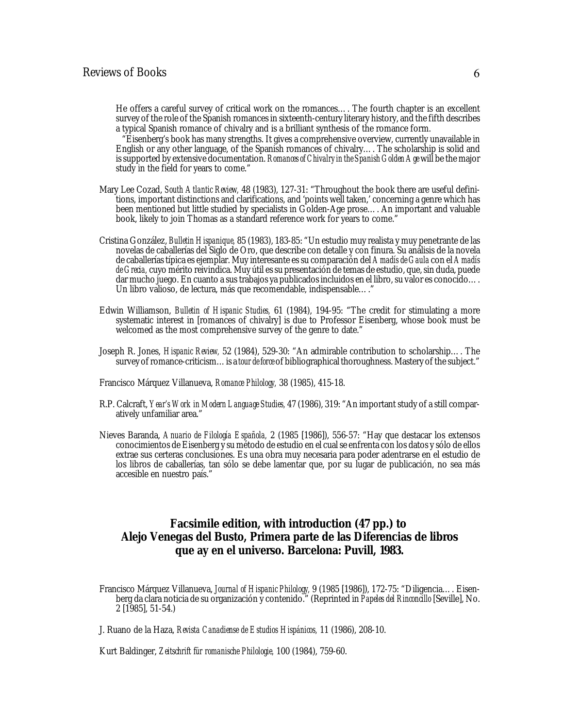#### Reviews of Books 6

He offers a careful survey of critical work on the romances…. The fourth chapter is an excellent survey of the role of the Spanish romances in sixteenth-century literary history, and the fifth describes a typical Spanish romance of chivalry and is a brilliant synthesis of the romance form.

 "Eisenberg's book has many strengths. It gives a comprehensive overview, currently unavailable in English or any other language, of the Spanish romances of chivalry…. The scholarship is solid and issupported by extensive documentation. *Romancesof Chivalryin the Spanish Golden Age*will be the major study in the field for years to come."

- Mary Lee Cozad, *South Atlantic Review,* 48 (1983), 127-31: "Throughout the book there are useful definitions, important distinctions and clarifications, and 'points well taken,' concerning a genre which has been mentioned but little studied by specialists in Golden-Age prose…. An important and valuable book, likely to join Thomas as a standard reference work for years to come."
- Cristina González, *Bulletin Hispanique,* 85 (1983), 183-85: "Un estudio muy realista y muy penetrante de las novelas de caballerías del Siglo de Oro, que describe con detalle y con finura. Su análisis de la novela de caballeríastípica es ejemplar. Muy interesante essu comparación del *Amadís de Gaula* con el *Amadís* de *Grecia*, cuyo mérito reivindica. Muy útil es su presentación de temas de estudio, que, sin duda, puede dar mucho juego. En cuanto a sus trabajos ya publicados incluidos en el libro, su valor es conocido…. Un libro valioso, de lectura, más que recomendable, indispensable…."
- Edwin Williamson, *Bulletin of Hispanic Studies,* 61 (1984), 194-95: "The credit for stimulating a more systematic interest in [romances of chivalry] is due to Professor Eisenberg, whose book must be welcomed as the most comprehensive survey of the genre to date."
- Joseph R. Jones, *Hispanic Review,* 52 (1984), 529-30: "An admirable contribution to scholarship…. The survey ofromance-criticism…is a *tour de force* of bibliographical thoroughness. Mastery of the subject."
- Francisco Márquez Villanueva, *Romance Philology,* 38 (1985), 415-18.
- R.P. Calcraft, *Year's Work in Modern Language Studies,* 47 (1986), 319: "An important study of a still comparatively unfamiliar area."
- Nieves Baranda, *Anuario de Filología Española,* 2 (1985 [1986]), 556-57: "Hay que destacar los extensos conocimientos de Eisenberg y su método de estudio en el cualse enfrenta con los datos y sólo de ellos extrae sus certeras conclusiones. Es una obra muy necesaria para poder adentrarse en el estudio de los libros de caballerías, tan sólo se debe lamentar que, por su lugar de publicación, no sea más accesible en nuestro país."

## **Facsimile edition, with introduction (47 pp.) to Alejo Venegas del Busto,** *Primera parte de las Diferencias de libros que ay en el universo.* **Barcelona: Puvill, 1983.**

Francisco Márquez Villanueva, *Journal of Hispanic Philology,* 9 (1985 [1986]), 172-75: "Diligencia…. Eisenberg da clara noticia de su organización y contenido." (Reprinted in *Papeles del Rinconcillo* [Seville], No. 2 [1985], 51-54.)

J. Ruano de la Haza, *Revista Canadiense de Estudios Hispánicos,* 11 (1986), 208-10.

Kurt Baldinger, *Zeitschrift für romanische Philologie,* 100 (1984), 759-60.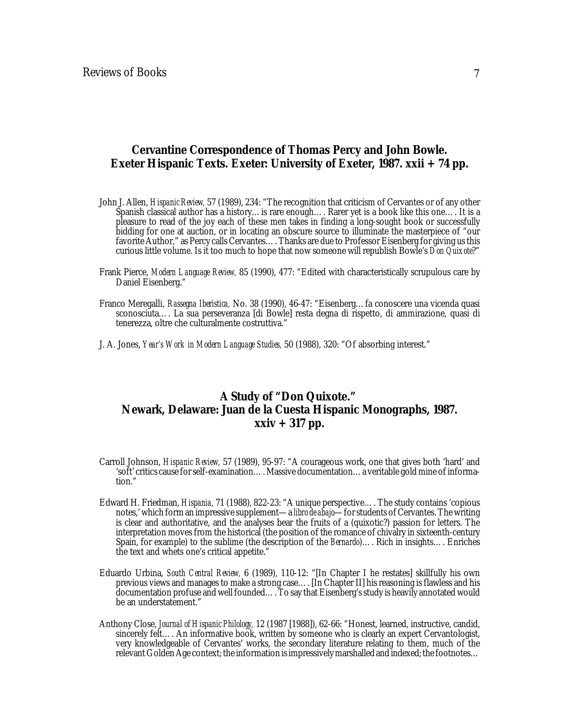#### *Cervantine Correspondence of Thomas Percy and John Bowle.* **Exeter Hispanic Texts. Exeter: University of Exeter, 1987. xxii + 74 pp.**

- John J. Allen, *Hispanic Review,* 57 (1989), 234: "The recognition that criticism of Cervantes or of any other Spanish classical author has a history...is rare enough.... Rarer yet is a book like this one.... It is a pleasure to read of the joy each of these men takes in finding a long-sought book or successfully bidding for one at auction, or in locating an obscure source to illuminate the masterpiece of "our favorite Author," as Percy calls Cervantes.... Thanks are due to Professor Eisenberg for giving us this curious little volume. Is it too much to hope that now someone will republish Bowle's *Don Quixote*?"
- Frank Pierce, *Modern Language Review,* 85 (1990), 477: "Edited with characteristically scrupulous care by Daniel Eisenberg."
- Franco Meregalli, *Rassegna Iberistica,* No. 38 (1990), 46-47: "Eisenberg…fa conoscere una vicenda quasi sconosciuta…. La sua perseveranza [di Bowle] resta degna di rispetto, di ammirazione, quasi di tenerezza, oltre che culturalmente costruttiva."
- J. A. Jones, *Year's Work in Modern Language Studies,* 50 (1988), 320: "Of absorbing interest."

## *A Study of "Don Quixote."* **Newark, Delaware: Juan de la Cuesta Hispanic Monographs, 1987. xxiv + 317 pp.**

- Carroll Johnson, *Hispanic Review,* 57 (1989), 95-97: "A courageous work, one that gives both 'hard' and 'soft' critics cause forself-examination…. Massive documentation…a veritable gold mine ofinformation."
- Edward H. Friedman, *Hispania,* 71 (1988), 822-23: "A unique perspective…. The study contains 'copious notes,' which form an impressive supplement—a *libro* de *abajo*—for students of Cervantes. The writing is clear and authoritative, and the analyses bear the fruits of a (quixotic?) passion for letters. The interpretation moves from the historical (the position of the romance of chivalry in sixteenth-century Spain, for example) to the sublime (the description of the *Bernardo*)…. Rich in insights…. Enriches the text and whets one's critical appetite."
- Eduardo Urbina, *South Central Review,* 6 (1989), 110-12: "[In Chapter I he restates] skillfully his own previous views and manages to make a strong case…. [In Chapter II] his reasoning is flawless and his documentation profuse and well founded…. To say that Eisenberg'sstudy is heavily annotated would be an understatement."
- Anthony Close, *Journal of Hispanic Philology,* 12 (1987 [1988]), 62-66: "Honest, learned, instructive, candid, sincerely felt.... An informative book, written by someone who is clearly an expert Cervantologist, very knowledgeable of Cervantes' works, the secondary literature relating to them, much of the relevant Golden Age context; the information is impressively marshalled and indexed; the footnotes...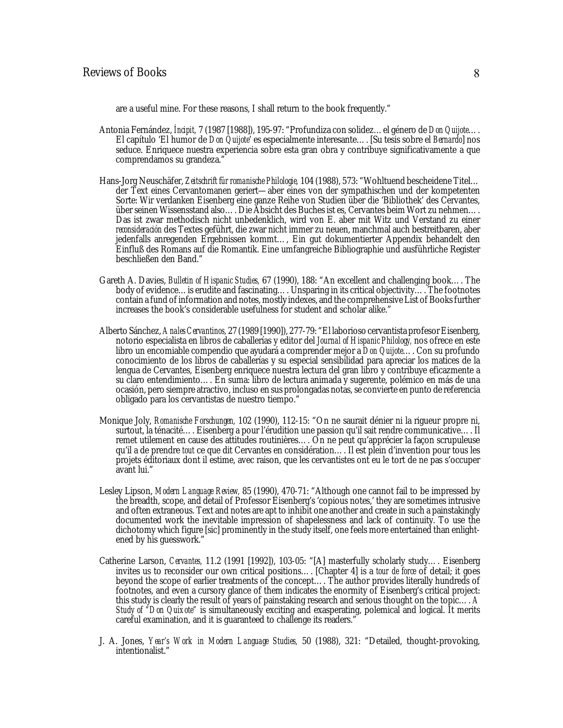are a useful mine. For these reasons, I shall return to the book frequently."

- Antonia Fernández, *Íncipit,* 7 (1987 [1988]), 195-97: "Profundiza con solidez…el género de *Don Quijote*…. El capítulo 'El humor de *Don Quijote*' es especialmente interesante…. [Su tesis sobre el *Bernardo*] nos seduce. Enriquece nuestra experiencia sobre esta gran obra y contribuye significativamente a que comprendamos su grandeza."
- Hans-Jorg Neuschäfer, *Zeitschrift für romanische Philologie,* 104 (1988), 573: "Wohltuend bescheidene Titel… der Text eines Cervantomanen geriert—aber eines von der sympathischen und der kompetenten Sorte: Wir verdanken Eisenberg eine ganze Reihe von Studien über die 'Bibliothek' des Cervantes, über seinen Wissensstand also…. Die Absicht des Buches ist es, Cervantes beim Wort zu nehmen…. Das ist zwar methodisch nicht unbedenklich, wird von E. aber mit Witz und Verstand zu einer *reconsideración* des Textes geführt, die zwar nicht immer zu neuen, manchmal auch bestreitbaren, aber jedenfalls anregenden Ergebnissen kommt…, Ein gut dokumentierter Appendix behandelt den Einfluß des Romans auf die Romantik. Eine umfangreiche Bibliographie und ausführliche Register beschließen den Band."
- Gareth A. Davies, *Bulletin of Hispanic Studies,* 67 (1990), 188: "An excellent and challenging book…. The body of evidence…is erudite and fascinating…. Unsparing in its critical objectivity…. The footnotes contain a fund of information and notes, mostly indexes, and the comprehensive List of Books further increases the book's considerable usefulness for student and scholar alike."
- Alberto Sánchez, *AnalesCervantinos,* 27 (1989 [1990]), 277-79: "El laborioso cervantista profesor Eisenberg, notorio especialista en libros de caballerías y editor del *Journal of Hispanic Philology,* nos ofrece en este libro un encomiable compendio que ayudará a comprender mejor a *Don Quijote*…. Con su profundo conocimiento de los libros de caballerías y su especial sensibilidad para apreciar los matices de la lengua de Cervantes, Eisenberg enriquece nuestra lectura del gran libro y contribuye eficazmente a su claro entendimiento…. En suma: libro de lectura animada y sugerente, polémico en más de una ocasión, pero siempre atractivo, incluso en sus prolongadas notas, se convierte en punto de referencia obligado para los cervantistas de nuestro tiempo."
- Monique Joly, *Romanische Forschungen,* 102 (1990), 112-15: "On ne saurait dénier ni la rigueur propre ni, surtout, la ténacité…. Eisenberg a pour l'érudition une passion qu'il sait rendre communicative…. Il remet utilement en cause des attitudes routinières…. On ne peut qu'apprécier la façon scrupuleuse qu'il a de prendre *tout* ce que dit Cervantes en considération…. Il est plein d'invention pour tous les projets éditoriaux dont il estime, avec raison, que les cervantistes ont eu le tort de ne pas s'occuper avant lui."
- Lesley Lipson, *Modern Language Review,* 85 (1990), 470-71: "Although one cannot fail to be impressed by the breadth, scope, and detail of Professor Eisenberg's 'copious notes,' they are sometimes intrusive and often extraneous. Text and notes are apt to inhibit one another and create in such a painstakingly documented work the inevitable impression of shapelessness and lack of continuity. To use the dichotomy which figure [sic] prominently in the study itself, one feels more entertained than enlightened by his guesswork."
- Catherine Larson, *Cervantes,* 11.2 (1991 [1992]), 103-05: "[A] masterfully scholarly study…. Eisenberg invites us to reconsider our own critical positions…. [Chapter 4] is a *tour de force* of detail; it goes beyond the scope of earlier treatments of the concept…. The author provides literally hundreds of footnotes, and even a cursory glance of them indicates the enormity of Eisenberg's critical project: this study is clearly the result of years of painstaking research and serious thought on the topic.... *A Study of "Don Quixote"* is simultaneously exciting and exasperating, polemical and logical. It merits careful examination, and it is guaranteed to challenge its readers."
- J. A. Jones, *Year's Work in Modern Language Studies,* 50 (1988), 321: "Detailed, thought-provoking, intentionalist."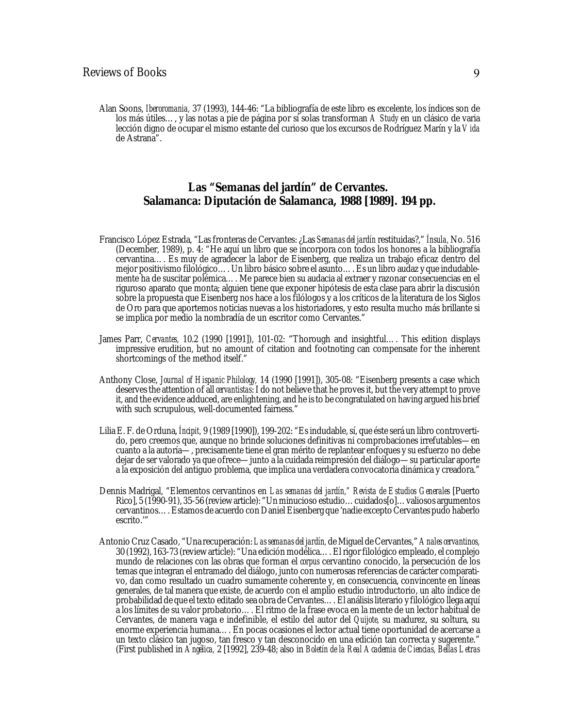Alan Soons, *Iberoromania,* 37 (1993), 144-46: "La bibliografía de este libro es excelente, los índices son de los más útiles…, y las notas a pie de página por sí solas transforman *A Study* en un clásico de varia lección digno de ocupar el mismo estante del curioso que los excursos de Rodríguez Marín y la *Vida* de Astrana".

#### *Las "Semanas del jardín" de Cervantes.* **Salamanca: Diputación de Salamanca, 1988 [1989]. 194 pp.**

- Francisco López Estrada, "Las fronteras de Cervantes: ¿Las *Semanas del jardín* restituidas?," *Ínsula,* No. 516 (December, 1989), p. 4: "He aquí un libro que se incorpora con todos los honores a la bibliografía cervantina…. Es muy de agradecer la labor de Eisenberg, que realiza un trabajo eficaz dentro del mejor positivismo filológico…. Un libro básico sobre el asunto…. Es un libro audaz y que indudablemente ha de suscitar polémica…. Me parece bien su audacia al extraer y razonar consecuencias en el riguroso aparato que monta; alguien tiene que exponer hipótesis de esta clase para abrir la discusión sobre la propuesta que Eisenberg nos hace a los filólogos y a los críticos de la literatura de los Siglos de Oro para que aportemos noticias nuevas a los historiadores, y esto resulta mucho más brillante si se implica por medio la nombradía de un escritor como Cervantes."
- James Parr, *Cervantes,* 10.2 (1990 [1991]), 101-02: "Thorough and insightful…. This edition displays impressive erudition, but no amount of citation and footnoting can compensate for the inherent shortcomings of the method itself."
- Anthony Close, *Journal of Hispanic Philology,* 14 (1990 [1991]), 305-08: "Eisenberg presents a case which deservesthe attention of all *cervantistas*:I do not believe that he provesit, but the very attempt to prove it, and the evidence adduced, are enlightening, and he isto be congratulated on having argued his brief with such scrupulous, well-documented fairness."
- Lilia E. F. de Orduna, *Íncipit,* 9 (1989 [1990]), 199-202: "Esindudable,sí, que éste será un libro controvertido, pero creemos que, aunque no brinde soluciones definitivas ni comprobaciones irrefutables—en cuanto a la autoría—, precisamente tiene el gran mérito de replantear enfoques y su esfuerzo no debe dejar de ser valorado ya que ofrece—junto a la cuidada reimpresión del diálogo—su particular aporte a la exposición del antiguo problema, que implica una verdadera convocatoria dinámica y creadora."
- Dennis Madrigal, "Elementos cervantinos en *Las semanas del jardín," Revista de Estudios Generales* [Puerto Rico], 5 (1990-91), 35-56 (review article): "Un minucioso estudio…cuidados[o]…valiosos argumentos cervantinos….Estamos de acuerdo con Daniel Eisenberg que 'nadie exceptoCervantes pudo haberlo escrito.'"
- Antonio Cruz Casado, "Una recuperación:*Las semanas del jardín,* de Miguel deCervantes," *Anales cervantinos,* 30 (1992), 163-73 (reviewarticle): "Una edición modélica…. El rigor filológico empleado, el complejo mundo de relaciones con las obras que forman el *corpus* cervantino conocido, la persecución de los temas que integran el entramado del diálogo, junto con numerosas referencias de carácter comparativo, dan como resultado un cuadro sumamente coherente y, en consecuencia, convincente en líneas generales, de tal manera que existe, de acuerdo con el amplio estudio introductorio, un alto índice de probabilidad de que el texto editado sea obra de Cervantes…. El análisisliterario y filológico llega aquí a los límites de su valor probatorio…. El ritmo de la frase evoca en la mente de un lector habitual de Cervantes, de manera vaga e indefinible, el estilo del autor del *Quijote,* su madurez, su soltura, su enorme experiencia humana…. En pocas ocasiones el lector actual tiene oportunidad de acercarse a un texto clásico tan jugoso, tan fresco y tan desconocido en una edición tan correcta y sugerente." (First published in *Angélica,* 2 [1992], 239-48; also in *Boletín de la Real Academia de Ciencias, Bellas Letras*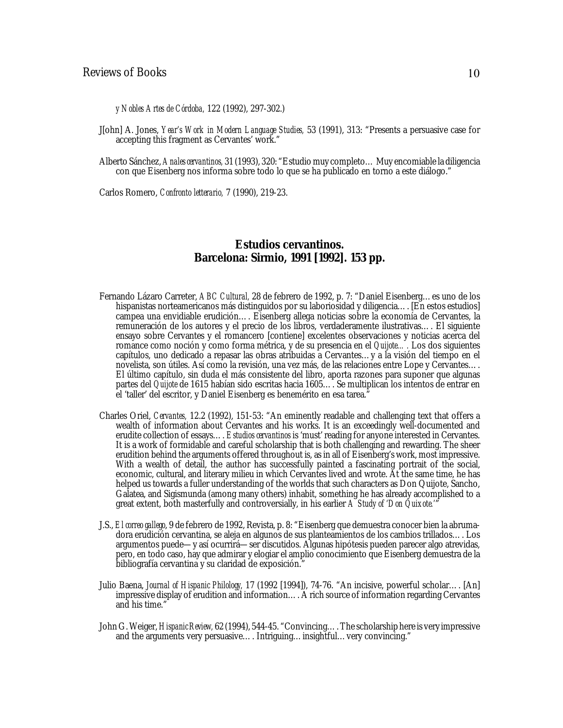#### Reviews of Books 10

*y Nobles Artes de Córdoba,* 122 (1992), 297-302.)

- J[ohn] A. Jones, *Year's Work in Modern Language Studies,* 53 (1991), 313: "Presents a persuasive case for accepting this fragment as Cervantes' work.'
- Alberto Sánchez, *Anales cervantinos,* 31 (1993), 320: "Estudio muy completo…Muy encomiable la diligencia con que Eisenberg nos informa sobre todo lo que se ha publicado en torno a este diálogo."

Carlos Romero, *Confronto letterario,* 7 (1990), 219-23.

#### *Estudios cervantinos.* **Barcelona: Sirmio, 1991 [1992]. 153 pp.**

- Fernando Lázaro Carreter, *ABC Cultural,* 28 de febrero de 1992, p. 7: "Daniel Eisenberg…es uno de los hispanistas norteamericanos más distinguidos por su laboriosidad y diligencia.... [En estos estudios] campea una envidiable erudición…. Eisenberg allega noticias sobre la economía de Cervantes, la remuneración de los autores y el precio de los libros, verdaderamente ilustrativas…. El siguiente ensayo sobre Cervantes y el romancero [contiene] excelentes observaciones y noticias acerca del romance como noción y como forma métrica, y de su presencia en el *Quijote….* Los dos siguientes capítulos, uno dedicado a repasar las obras atribuidas a Cervantes…y a la visión del tiempo en el novelista, son útiles. Así como la revisión, una vez más, de las relaciones entre Lope y Cervantes…. El último capítulo, sin duda el más consistente del libro, aporta razones para suponer que algunas partes del *Quijote* de 1615 habían sido escritas hacia 1605…. Se multiplican los intentos de entrar en el 'taller' del escritor, y Daniel Eisenberg es benemérito en esa tarea."
- Charles Oriel, *Cervantes,* 12.2 (1992), 151-53: "An eminently readable and challenging text that offers a wealth of information about Cervantes and his works. It is an exceedingly well-documented and erudite collection of essays…. *Estudios cervantinos* is 'must' reading for anyone interested in Cervantes. It is a work of formidable and careful scholarship that is both challenging and rewarding. The sheer erudition behind the arguments offered throughout is, as in all of Eisenberg's work, most impressive. With a wealth of detail, the author has successfully painted a fascinating portrait of the social, economic, cultural, and literary milieu in which Cervantes lived and wrote. At the same time, he has helped us towards a fuller understanding of the worlds that such characters as Don Quijote, Sancho, Galatea, and Sigismunda (among many others) inhabit, something he has already accomplished to a great extent, both masterfully and controversially, in his earlier *A Study of 'Don Quixote.'*"
- J.S., *El correo gallego*, 9 de febrero de 1992, Revista, p. 8: "Eisenberg que demuestra conocer bien la abrumadora erudición cervantina, se aleja en algunos de sus planteamientos de los cambios trillados…. Los argumentos puede—y así ocurrirá—ser discutidos. Algunas hipótesis pueden parecer algo atrevidas, pero, en todo caso, hay que admirar y elogiar el amplio conocimiento que Eisenberg demuestra de la bibliografía cervantina y su claridad de exposición.'
- Julio Baena, *Journal of Hispanic Philology,* 17 (1992 [1994]), 74-76. "An incisive, powerful scholar…. [An] impressive display of erudition and information…. A rich source of information regarding Cervantes and his time."
- JohnG. Weiger,*HispanicReview,* 62 (1994), 544-45. "Convincing….The scholarship here is very impressive and the arguments very persuasive…. Intriguing…insightful…very convincing."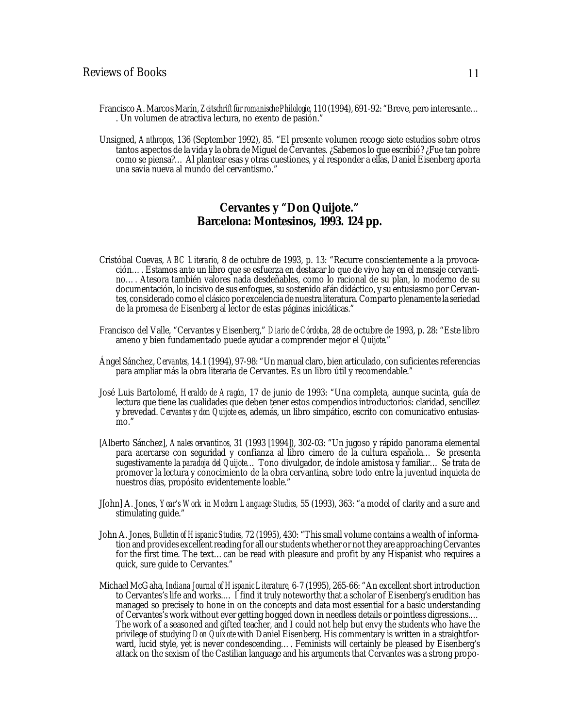- FranciscoA. Marcos Marín, *Zeitschrift für romanische Philologie,* 110 (1994), 691-92: "Breve, pero interesante… . Un volumen de atractiva lectura, no exento de pasión."
- Unsigned, *Anthropos*, 136 (September 1992), 85. "El presente volumen recoge siete estudios sobre otros tantos aspectos de la vida y la obra de Miguel de Cervantes. ¿Sabemos lo que escribió? ¿Fue tan pobre como se piensa?… Al plantear esas y otras cuestiones, y al responder a ellas, Daniel Eisenberg aporta una savia nueva al mundo del cervantismo."

#### *Cervantes y "Don Quijote."* **Barcelona: Montesinos, 1993. 124 pp.**

- Cristóbal Cuevas, *ABC Literario*, 8 de octubre de 1993, p. 13: "Recurre conscientemente a la provocación…. Estamos ante un libro que se esfuerza en destacar lo que de vivo hay en el mensaje cervantino…. Atesora también valores nada desdeñables, como lo racional de su plan, lo moderno de su documentación, lo incisivo de sus enfoques, su sostenido afán didáctico, y su entusiasmo por Cervantes, considerado como el clásico por excelencia de nuestra literatura.Comparto plenamente la seriedad de la promesa de Eisenberg al lector de estas páginas iniciáticas."
- Francisco del Valle, "Cervantes y Eisenberg," *Diario de Córdoba,* 28 de octubre de 1993, p. 28: "Este libro ameno y bien fundamentado puede ayudar a comprender mejor el *Quijote*."
- Ángel Sánchez, *Cervantes,* 14.1 (1994), 97-98: "Un manual claro, bien articulado, con suficientesreferencias para ampliar más la obra literaria de Cervantes. Es un libro útil y recomendable."
- José Luis Bartolomé, *Heraldo de Aragón*, 17 de junio de 1993: "Una completa, aunque sucinta, guía de lectura que tiene las cualidades que deben tener estos compendios introductorios: claridad, sencillez y brevedad. *Cervantes y don Quijote* es, además, un libro simpático, escrito con comunicativo entusiasmo."
- [Alberto Sánchez], *Anales cervantinos,* 31 (1993 [1994]), 302-03: "Un jugoso y rápido panorama elemental para acercarse con seguridad y confianza al libro cimero de la cultura española… Se presenta sugestivamente la *paradoja del Quijote*… Tono divulgador, de índole amistosa y familiar… Se trata de promover la lectura y conocimiento de la obra cervantina, sobre todo entre la juventud inquieta de nuestros días, propósito evidentemente loable."
- J[ohn] A. Jones, *Year's Work in Modern Language Studies,* 55 (1993), 363: "a model of clarity and a sure and stimulating guide."
- John A. Jones, *Bulletin of Hispanic Studies,* 72 (1995), 430: "This small volume contains a wealth of information and provides excellent reading for all our students whether or not they are approaching Cervantes for the first time. The text…can be read with pleasure and profit by any Hispanist who requires a quick, sure guide to Cervantes."
- Michael McGaha, *Indiana Journal of Hispanic Literature,* 6-7 (1995), 265-66: "An excellent short introduction to Cervantes's life and works.… I find it truly noteworthy that a scholar of Eisenberg's erudition has managed so precisely to hone in on the concepts and data most essential for a basic understanding of Cervantes's work without ever getting bogged down in needless details or pointless digressions.… The work of a seasoned and gifted teacher, and I could not help but envy the students who have the privilege of studying *Don Quixote* with Daniel Eisenberg. His commentary is written in a straightforward, lucid style, yet is never condescending…. Feminists will certainly be pleased by Eisenberg's attack on the sexism of the Castilian language and his arguments that Cervantes was a strong propo-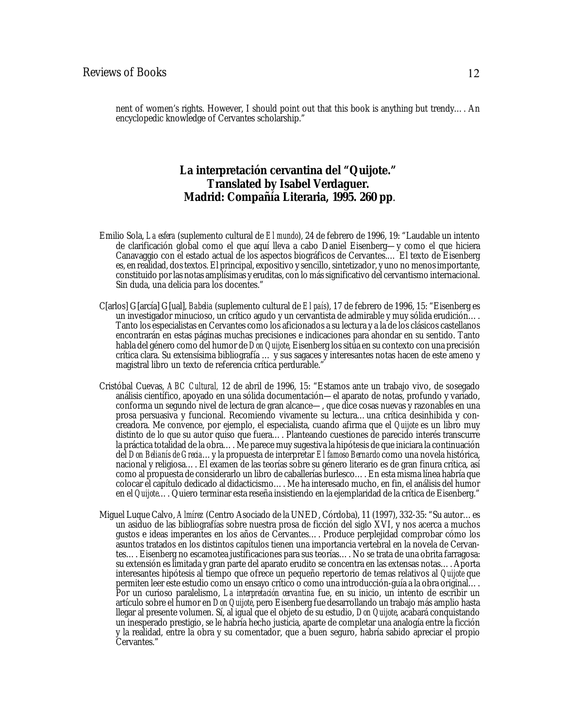nent of women's rights. However, I should point out that this book is anything but trendy…. An encyclopedic knowledge of Cervantes scholarship."

## *La interpretación cervantina del "Quijote."* **Translated by Isabel Verdaguer. Madrid: Compañía Literaria, 1995. 260 pp**.

- Emilio Sola, *La esfera* (suplemento cultural de *El mundo*), 24 de febrero de 1996, 19: "Laudable un intento de clarificación global como el que aquí lleva a cabo Daniel Eisenberg—y como el que hiciera Canavaggio con el estado actual de los aspectos biográficos de Cervantes.… El texto de Eisenberg es, en realidad, dos textos. El principal, expositivo y sencillo, sintetizador, y uno no menos importante, constituido porlas notas amplísimas y eruditas, con lo mássignificativo del cervantismo internacional. Sin duda, una delicia para los docentes."
- C[arlos] G[arcía] G[ual], *Babelia* (suplemento cultural de *El país*), 17 de febrero de 1996, 15: "Eisenberg es un investigador minucioso, un crítico agudo y un cervantista de admirable y muy sólida erudición…. Tanto los especialistas en Cervantes como los aficionados a su lectura y a la de los clásicos castellanos encontrarán en estas páginas muchas precisiones e indicaciones para ahondar en su sentido. Tanto habla del género como del humor de *Don Quijote*, Eisenberg lossitúa en su contexto con una precisión crítica clara. Su extensísima bibliografía … y sus sagaces y interesantes notas hacen de este ameno y magistral libro un texto de referencia crítica perdurable."
- Cristóbal Cuevas, *ABC Cultural,* 12 de abril de 1996, 15: "Estamos ante un trabajo vivo, de sosegado análisis científico, apoyado en una sólida documentación—el aparato de notas, profundo y variado, conforma un segundo nivel de lectura de gran alcance—, que dice cosas nuevas y razonables en una prosa persuasiva y funcional. Recomiendo vivamente su lectura…una crítica desinhibida y concreadora. Me convence, por ejemplo, el especialista, cuando afirma que el *Quijote* es un libro muy distinto de lo que su autor quiso que fuera…. Planteando cuestiones de parecido interés transcurre la práctica totalidad de la obra…. Me parece muy sugestiva la hipótesis de que iniciara la continuación del *Don Belianís de Grecia*…y la propuesta de interpretar *El famoso Bernardo* como una novela histórica, nacional y religiosa…. El examen de las teorías sobre su género literario es de gran finura crítica, así como al propuesta de considerarlo un libro de caballerías burlesco…. En esta misma línea habría que colocar el capítulo dedicado al didacticismo…. Me ha interesado mucho, en fin, el análisis del humor en el *Quijote*…. Quiero terminar esta reseña insistiendo en la ejemplaridad de la crítica de Eisenberg."
- Miguel Luque Calvo, *Almírez* (Centro Asociado de la UNED, Córdoba), 11 (1997), 332-35: "Su autor…es un asiduo de las bibliografías sobre nuestra prosa de ficción del siglo XVI, y nos acerca a muchos gustos e ideas imperantes en los años de Cervantes…. Produce perplejidad comprobar cómo los asuntos tratados en los distintos capítulos tienen una importancia vertebral en la novela de Cervantes…. Eisenberg no escamotea justificaciones para sus teorías…. No se trata de una obrita farragosa: su extensión es limitada y gran parte del aparato erudito se concentra en las extensas notas…. Aporta interesantes hipótesis al tiempo que ofrece un pequeño repertorio de temas relativos al *Quijote* que permiten leer este estudio como un ensayo crítico o como una introducción-guía a la obra original…. Por un curioso paralelismo, *La interpretación cervantina* fue, en su inicio, un intento de escribir un artículo sobre el humor en *Don Quijote*, pero Eisenberg fue desarrollando un trabajo más amplio hasta llegar al presente volumen. Sí, al igual que el objeto de su estudio, *Don Quijote*, acabará conquistando un inesperado prestigio, se le habría hecho justicia, aparte de completar una analogía entre la ficción y la realidad, entre la obra y su comentador, que a buen seguro, habría sabido apreciar el propio Cervantes."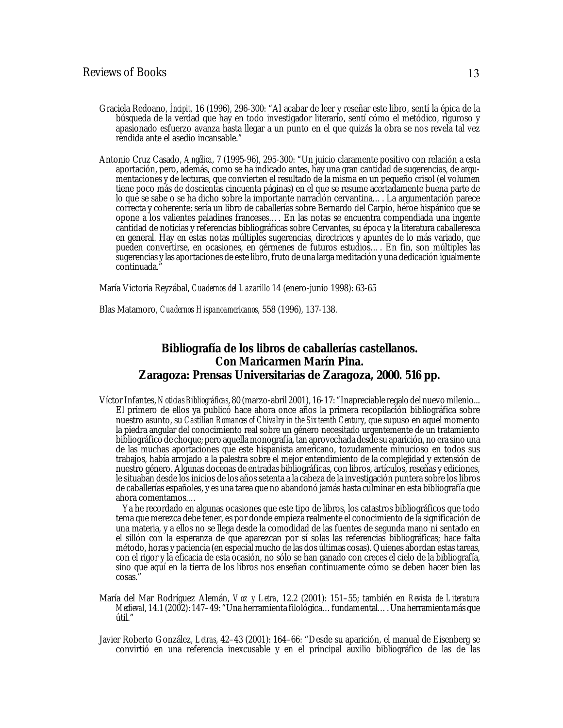- Graciela Redoano, *Íncipit,* 16 (1996), 296-300: "Al acabar de leer y reseñar este libro, sentí la épica de la búsqueda de la verdad que hay en todo investigador literario, sentí cómo el metódico, riguroso y apasionado esfuerzo avanza hasta llegar a un punto en el que quizás la obra se nos revela tal vez rendida ante el asedio incansable."
- Antonio Cruz Casado, *Angélica*, 7 (1995-96), 295-300: "Un juicio claramente positivo con relación a esta aportación, pero, además, como se ha indicado antes, hay una gran cantidad de sugerencias, de argumentaciones y de lecturas, que convierten el resultado de la misma en un pequeño crisol (el volumen tiene poco más de doscientas cincuenta páginas) en el que se resume acertadamente buena parte de lo que se sabe o se ha dicho sobre la importante narración cervantina…. La argumentación parece correcta y coherente: sería un libro de caballerías sobre Bernardo del Carpio, héroe hispánico que se opone a los valientes paladines franceses…. En las notas se encuentra compendiada una ingente cantidad de noticias y referencias bibliográficas sobre Cervantes, su época y la literatura caballeresca en general. Hay en estas notas múltiples sugerencias, directrices y apuntes de lo más variado, que pueden convertirse, en ocasiones, en gérmenes de futuros estudios…. En fin, son múltiples las sugerencias y las aportaciones de este libro, fruto de una larga meditación y una dedicación igualmente continuada.

María Victoria Reyzábal, *Cuadernos del Lazarillo* 14 (enero-junio 1998): 63-65

Blas Matamoro, *Cuadernos Hispanoamericanos*, 558 (1996), 137-138.

## *Bibliografía de los libros de caballerías castellanos***. Con Maricarmen Marín Pina. Zaragoza: Prensas Universitarias de Zaragoza, 2000. 516 pp.**

VíctorInfantes, *Noticias Bibliográficas*, 80 (marzo-abril 2001), 16-17: "Inapreciable regalo del nuevo milenio... El primero de ellos ya publicó hace ahora once años la primera recopilación bibliográfica sobre nuestro asunto, su *Castilian Romances of Chivalry in the Sixteenth Century*, que supuso en aquel momento la piedra angular del conocimiento real sobre un género necesitado urgentemente de un tratamiento bibliográfico de choque; pero aquella monografía, tan aprovechada desde su aparición, no era sino una de las muchas aportaciones que este hispanista americano, tozudamente minucioso en todos sus trabajos, había arrojado a la palestra sobre el mejor entendimiento de la complejidad y extensión de nuestro género. Algunas docenas de entradas bibliográficas, con libros, artículos, reseñas y ediciones, le situaban desde los inicios de los años setenta a la cabeza de la investigación puntera sobre los libros de caballerías españoles, y es una tarea que no abandonó jamás hasta culminar en esta bibliografía que ahora comentamos.…

 Ya he recordado en algunas ocasiones que este tipo de libros, los catastros bibliográficos que todo tema que merezca debe tener, es por donde empieza realmente el conocimiento de la significación de una materia, y a ellos no se llega desde la comodidad de las fuentes de segunda mano ni sentado en el sillón con la esperanza de que aparezcan por sí solas las referencias bibliográficas; hace falta método, horas y paciencia (en especial mucho de las dos últimas cosas). Quienes abordan estas tareas, con el rigor y la eficacia de esta ocasión, no sólo se han ganado con creces el cielo de la bibliografía, sino que aquí en la tierra de los libros nos enseñan continuamente cómo se deben hacer bien las cosas."

- María del Mar Rodríguez Alemán, *Voz y Letra*, 12.2 (2001): 151–55; también en *Revista de Literatura Medieval*, 14.1 (2002): 147–49: "Una herramienta filológica…fundamental…. Una herramienta más que útil."
- Javier Roberto González, *Letras*, 42–43 (2001): 164–66: "Desde su aparición, el manual de Eisenberg se convirtió en una referencia inexcusable y en el principal auxilio bibliográfico de las de las